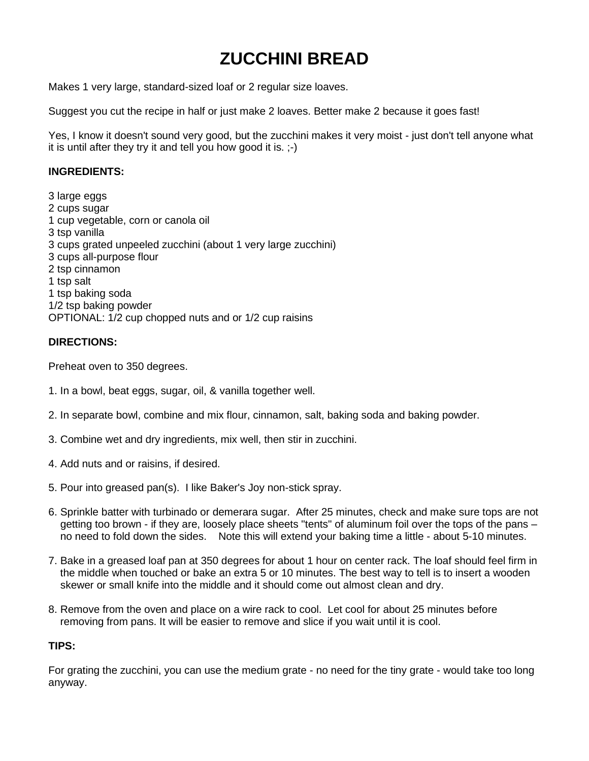## **ZUCCHINI BREAD**

Makes 1 very large, standard-sized loaf or 2 regular size loaves.

Suggest you cut the recipe in half or just make 2 loaves. Better make 2 because it goes fast!

Yes, I know it doesn't sound very good, but the zucchini makes it very moist - just don't tell anyone what it is until after they try it and tell you how good it is. ;-)

## **INGREDIENTS:**

3 large eggs 2 cups sugar 1 cup vegetable, corn or canola oil 3 tsp vanilla 3 cups grated unpeeled zucchini (about 1 very large zucchini) 3 cups all-purpose flour 2 tsp cinnamon 1 tsp salt 1 tsp baking soda 1/2 tsp baking powder OPTIONAL: 1/2 cup chopped nuts and or 1/2 cup raisins

## **DIRECTIONS:**

Preheat oven to 350 degrees.

- 1. In a bowl, beat eggs, sugar, oil, & vanilla together well.
- 2. In separate bowl, combine and mix flour, cinnamon, salt, baking soda and baking powder.
- 3. Combine wet and dry ingredients, mix well, then stir in zucchini.
- 4. Add nuts and or raisins, if desired.
- 5. Pour into greased pan(s). I like Baker's Joy non-stick spray.
- 6. Sprinkle batter with turbinado or demerara sugar. After 25 minutes, check and make sure tops are not getting too brown - if they are, loosely place sheets "tents" of aluminum foil over the tops of the pans – no need to fold down the sides. Note this will extend your baking time a little - about 5-10 minutes.
- 7. Bake in a greased loaf pan at 350 degrees for about 1 hour on center rack. The loaf should feel firm in the middle when touched or bake an extra 5 or 10 minutes. The best way to tell is to insert a wooden skewer or small knife into the middle and it should come out almost clean and dry.
- 8. Remove from the oven and place on a wire rack to cool. Let cool for about 25 minutes before removing from pans. It will be easier to remove and slice if you wait until it is cool.

## **TIPS:**

For grating the zucchini, you can use the medium grate - no need for the tiny grate - would take too long anyway.